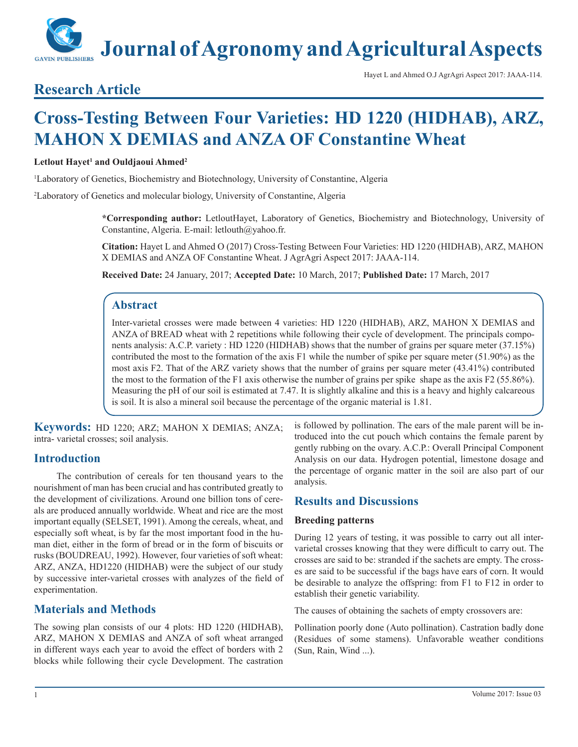# **Journal of Agronomy and Agricultural Aspects**

#### Hayet L and Ahmed O.J AgrAgri Aspect 2017: JAAA-114.

# **Research Article**

# **Cross-Testing Between Four Varieties: HD 1220 (HIDHAB), ARZ, MAHON X DEMIAS and ANZA OF Constantine Wheat**

### $L$ etlout Hayet<sup>1</sup> and Ouldjaoui Ahmed<sup>2</sup>

1 Laboratory of Genetics, Biochemistry and Biotechnology, University of Constantine, Algeria

2 Laboratory of Genetics and molecular biology, University of Constantine, Algeria

**\*Corresponding author:** LetloutHayet, Laboratory of Genetics, Biochemistry and Biotechnology, University of Constantine, Algeria. E-mail: letlouth@yahoo.fr.

**Citation:** Hayet L and Ahmed O (2017) Cross-Testing Between Four Varieties: HD 1220 (HIDHAB), ARZ, MAHON X DEMIAS and ANZA OF Constantine Wheat. J AgrAgri Aspect 2017: JAAA-114.

**Received Date:** 24 January, 2017; **Accepted Date:** 10 March, 2017; **Published Date:** 17 March, 2017

# **Abstract**

Inter-varietal crosses were made between 4 varieties: HD 1220 (HIDHAB), ARZ, MAHON X DEMIAS and ANZA of BREAD wheat with 2 repetitions while following their cycle of development. The principals components analysis: A.C.P. variety : HD 1220 (HIDHAB) shows that the number of grains per square meter (37.15%) contributed the most to the formation of the axis F1 while the number of spike per square meter (51.90%) as the most axis F2. That of the ARZ variety shows that the number of grains per square meter (43.41%) contributed the most to the formation of the F1 axis otherwise the number of grains per spike shape as the axis  $F2 (55.86\%)$ . Measuring the pH of our soil is estimated at 7.47. It is slightly alkaline and this is a heavy and highly calcareous is soil. It is also a mineral soil because the percentage of the organic material is 1.81.

**Keywords:** HD 1220; ARZ; MAHON X DEMIAS; ANZA; intra- varietal crosses; soil analysis.

# **Introduction**

The contribution of cereals for ten thousand years to the nourishment of man has been crucial and has contributed greatly to the development of civilizations. Around one billion tons of cereals are produced annually worldwide. Wheat and rice are the most important equally (SELSET, 1991). Among the cereals, wheat, and especially soft wheat, is by far the most important food in the human diet, either in the form of bread or in the form of biscuits or rusks (BOUDREAU, 1992). However, four varieties of soft wheat: ARZ, ANZA, HD1220 (HIDHAB) were the subject of our study by successive inter-varietal crosses with analyzes of the field of experimentation.

# **Materials and Methods**

The sowing plan consists of our 4 plots: HD 1220 (HIDHAB), ARZ, MAHON X DEMIAS and ANZA of soft wheat arranged in different ways each year to avoid the effect of borders with 2 blocks while following their cycle Development. The castration

is followed by pollination. The ears of the male parent will be introduced into the cut pouch which contains the female parent by gently rubbing on the ovary. A.C.P.: Overall Principal Component Analysis on our data. Hydrogen potential, limestone dosage and the percentage of organic matter in the soil are also part of our analysis.

# **Results and Discussions**

#### **Breeding patterns**

During 12 years of testing, it was possible to carry out all intervarietal crosses knowing that they were difficult to carry out. The crosses are said to be: stranded if the sachets are empty. The crosses are said to be successful if the bags have ears of corn. It would be desirable to analyze the offspring: from F1 to F12 in order to establish their genetic variability.

The causes of obtaining the sachets of empty crossovers are:

Pollination poorly done (Auto pollination). Castration badly done (Residues of some stamens). Unfavorable weather conditions (Sun, Rain, Wind ...).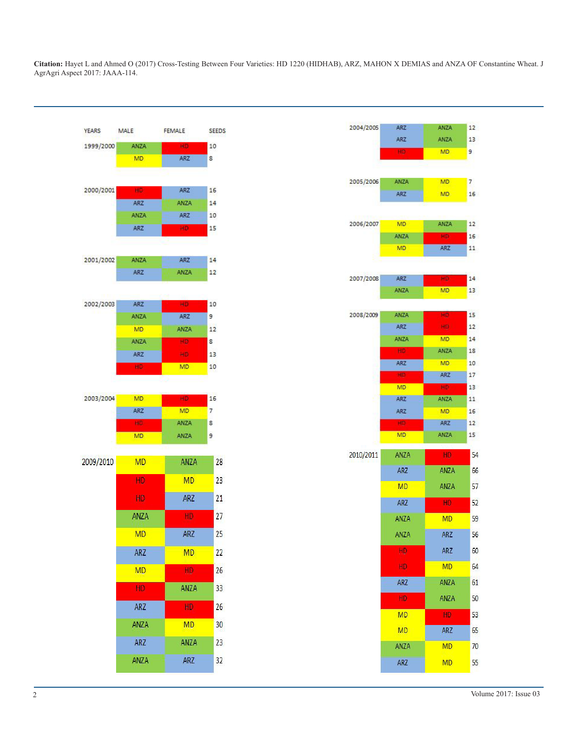**Citation:** Hayet L and Ahmed O (2017) Cross-Testing Between Four Varieties: HD 1220 (HIDHAB), ARZ, MAHON X DEMIAS and ANZA OF Constantine Wheat. J AgrAgri Aspect 2017: JAAA-114.



| 2004/2005 | ARZ             | <b>ANZA</b> | 12              |
|-----------|-----------------|-------------|-----------------|
|           | <b>ARZ</b>      | ANZA        | 13              |
|           | HD.             | MD:         | 9.              |
|           |                 |             |                 |
| 2005/2006 | ANZA            | <b>MD</b>   | 7               |
|           | <b>ARZ</b>      | MD.         | 16 <sup>1</sup> |
|           |                 |             |                 |
| 2006/2007 | MD              | ANZA        | 12              |
|           | ANZA            | HD.         | 16 <sup>1</sup> |
|           | MD.             | ARZ         | 11              |
|           |                 |             |                 |
| 2007/2008 | <b>ARZ</b>      | HD.         | 14              |
|           | ANZA            | <b>MD</b>   | 13              |
|           |                 |             |                 |
| 2008/2009 | ANZA            | HD          | 15              |
|           | ARZ             | HD.         | 12              |
|           | ANZA<br>HD      | MD.<br>ANZA | 14<br>18        |
|           | ARZ             | MD.         | 10              |
|           | HD.             | ARZ         | 17              |
|           | MD <sup>1</sup> | HD.         | 13 <sup>°</sup> |
|           | ARZ             | ANZA        | 11              |
|           | ARZ             | <b>MD</b>   | 16              |
|           | HD              | ARZ         | 12 <sup>2</sup> |
|           | MD.             | <b>ANZA</b> | 15              |
| 2010/2011 | ANZA            | HD.         | 54              |
|           | ARZ             | <b>ANZA</b> | 66              |
|           | <b>MD</b>       | ANZA        | 57              |
|           | <b>ARZ</b>      | HD.         | 52              |
|           | <b>ANZA</b>     | <b>MD</b>   | 59              |
|           | ANZA            | <b>ARZ</b>  | 56              |
|           | HD              | <b>ARZ</b>  | 60              |
|           | HD              | <b>MD</b>   | 64              |
|           | <b>ARZ</b>      | ANZA        | 61              |
|           | HD              | ANZA        | 50              |
|           | MD              | HD.         | 53              |
|           | <b>MD</b>       | ARZ         | 65              |
|           | ANZA            | <b>MD</b>   | 70              |
|           | <b>ARZ</b>      | MD          | 55              |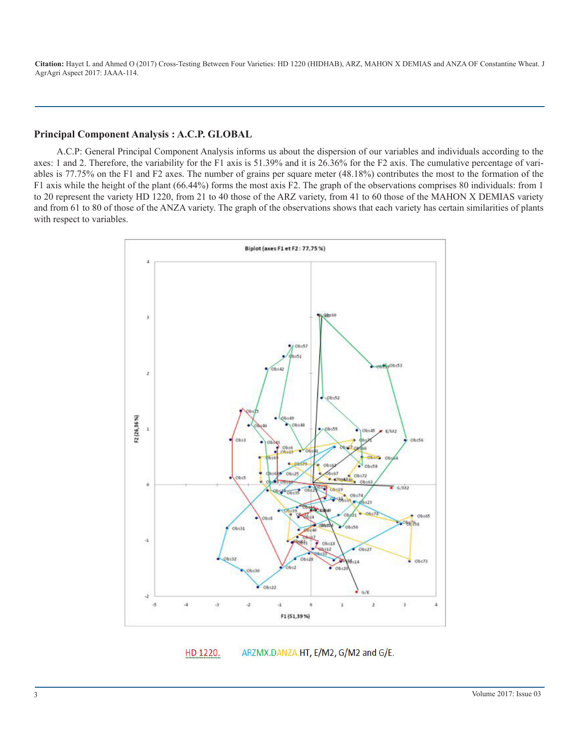**Citation:** Hayet L and Ahmed O (2017) Cross-Testing Between Four Varieties: HD 1220 (HIDHAB), ARZ, MAHON X DEMIAS and ANZA OF Constantine Wheat. J AgrAgri Aspect 2017: JAAA-114.

#### **Principal Component Analysis : A.C.P. GLOBAL**

A.C.P: General Principal Component Analysis informs us about the dispersion of our variables and individuals according to the axes: 1 and 2. Therefore, the variability for the F1 axis is 51.39% and it is 26.36% for the F2 axis. The cumulative percentage of variables is 77.75% on the F1 and F2 axes. The number of grains per square meter (48.18%) contributes the most to the formation of the F1 axis while the height of the plant (66.44%) forms the most axis F2. The graph of the observations comprises 80 individuals: from 1 to 20 represent the variety HD 1220, from 21 to 40 those of the ARZ variety, from 41 to 60 those of the MAHON X DEMIAS variety and from 61 to 80 of those of the ANZA variety. The graph of the observations shows that each variety has certain similarities of plants with respect to variables.



HD 1220. ARZMX.DANZA.HT, E/M2, G/M2 and G/E.